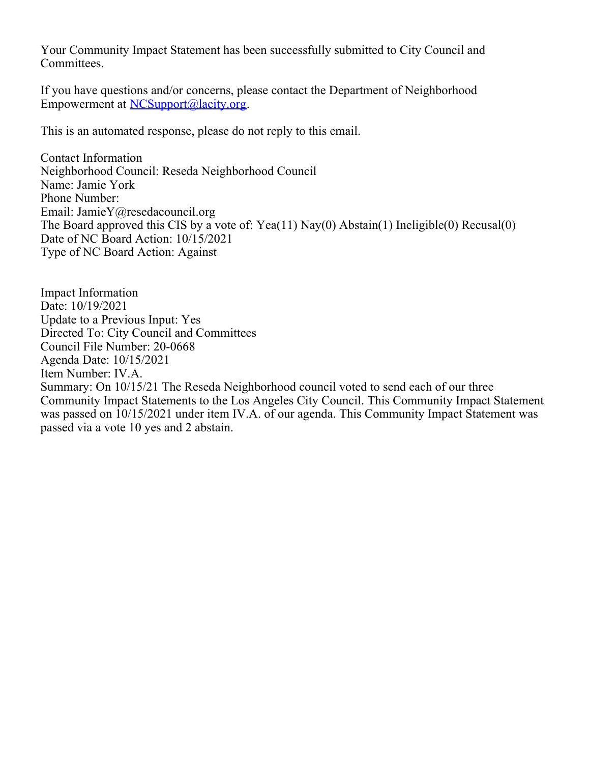Your Community Impact Statement has been successfully submitted to City Council and Committees.

If you have questions and/or concerns, please contact the Department of Neighborhood Empowerment at [NCSupport@lacity.org](mailto:NCSupport@lacity.org).

This is an automated response, please do not reply to this email.

Contact Information Neighborhood Council: Reseda Neighborhood Council Name: Jamie York Phone Number: Email: JamieY@resedacouncil.org The Board approved this CIS by a vote of: Yea(11) Nay(0) Abstain(1) Ineligible(0) Recusal(0) Date of NC Board Action: 10/15/2021 Type of NC Board Action: Against

Impact Information Date: 10/19/2021 Update to a Previous Input: Yes Directed To: City Council and Committees Council File Number: 20-0668 Agenda Date: 10/15/2021 Item Number: IV.A. Summary: On 10/15/21 The Reseda Neighborhood council voted to send each of our three Community Impact Statements to the Los Angeles City Council. This Community Impact Statement was passed on 10/15/2021 under item IV.A. of our agenda. This Community Impact Statement was passed via a vote 10 yes and 2 abstain.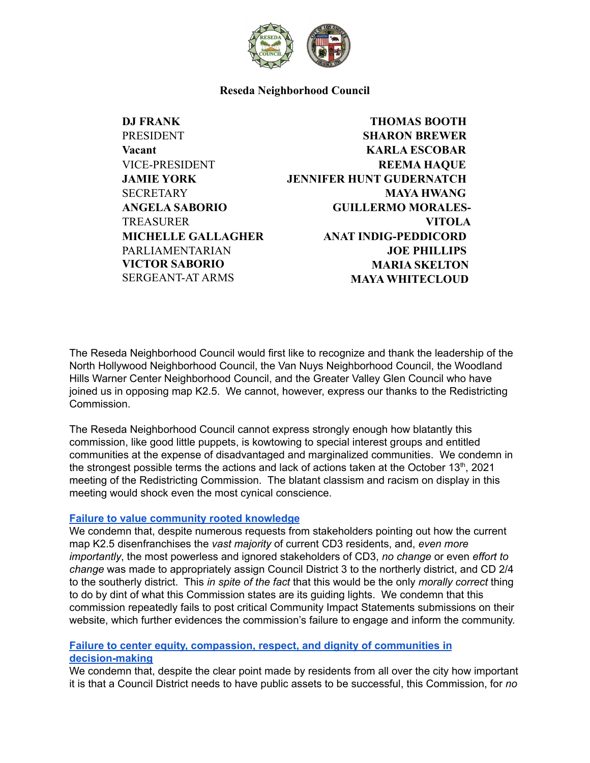

### **Reseda Neighborhood Council**

**DJ FRANK** PRESIDENT **Vacant** VICE-PRESIDENT **JAMIE YORK SECRETARY ANGELA SABORIO TREASURER MICHELLE GALLAGHER** PARLIAMENTARIAN **VICTOR SABORIO** SERGEANT-AT ARMS

# **THOMAS BOOTH SHARON BREWER KARLA ESCOBAR REEMA HAQUE JENNIFER HUNT GUDERNATCH MAYA HWANG GUILLERMO MORALES-VITOLA ANAT INDIG-PEDDICORD JOE PHILLIPS MARIA SKELTON MAYA WHITECLOUD**

The Reseda Neighborhood Council would first like to recognize and thank the leadership of the North Hollywood Neighborhood Council, the Van Nuys Neighborhood Council, the Woodland Hills Warner Center Neighborhood Council, and the Greater Valley Glen Council who have joined us in opposing map K2.5. We cannot, however, express our thanks to the Redistricting Commission.

The Reseda Neighborhood Council cannot express strongly enough how blatantly this commission, like good little puppets, is kowtowing to special interest groups and entitled communities at the expense of disadvantaged and marginalized communities. We condemn in the strongest possible terms the actions and lack of actions taken at the October  $13<sup>th</sup>$ , 2021 meeting of the Redistricting Commission. The blatant classism and racism on display in this meeting would shock even the most cynical conscience.

### **Failure to value [community](https://laccrc2021.org/about-us/) rooted knowledge**

We condemn that, despite numerous requests from stakeholders pointing out how the current map K2.5 disenfranchises the *vast majority* of current CD3 residents, and, *even more importantly*, the most powerless and ignored stakeholders of CD3, *no change* or even *effort to change* was made to appropriately assign Council District 3 to the northerly district, and CD 2/4 to the southerly district. This *in spite of the fact* that this would be the only *morally correct* thing to do by dint of what this Commission states are its guiding lights. We condemn that this commission repeatedly fails to post critical Community Impact Statements submissions on their website, which further evidences the commission's failure to engage and inform the community.

# **Failure to center equity, compassion, respect, and dignity of [communities](https://laccrc2021.org/about-us/) in [decision-making](https://laccrc2021.org/about-us/)**

We condemn that, despite the clear point made by residents from all over the city how important it is that a Council District needs to have public assets to be successful, this Commission, for *no*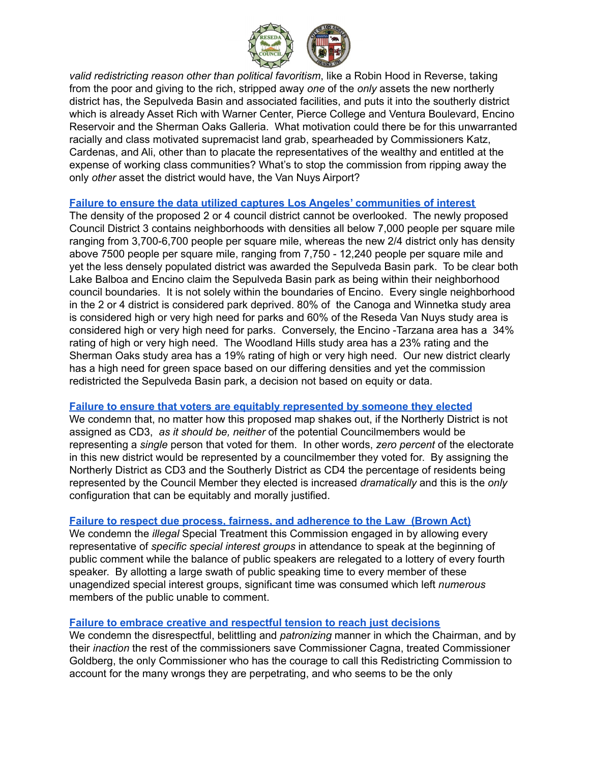

*valid redistricting reason other than political favoritism*, like a Robin Hood in Reverse, taking from the poor and giving to the rich, stripped away *one* of the *only* assets the new northerly district has, the Sepulveda Basin and associated facilities, and puts it into the southerly district which is already Asset Rich with Warner Center, Pierce College and Ventura Boulevard, Encino Reservoir and the Sherman Oaks Galleria. What motivation could there be for this unwarranted racially and class motivated supremacist land grab, spearheaded by Commissioners Katz, Cardenas, and Ali, other than to placate the representatives of the wealthy and entitled at the expense of working class communities? What's to stop the commission from ripping away the only *other* asset the district would have, the Van Nuys Airport?

# **Failure to ensure the data utilized captures Los Angeles' [communities](https://laccrc2021.org/about-us/) of interest**

The density of the proposed 2 or 4 council district cannot be overlooked. The newly proposed Council District 3 contains neighborhoods with densities all below 7,000 people per square mile ranging from 3,700-6,700 people per square mile, whereas the new 2/4 district only has density above 7500 people per square mile, ranging from 7,750 - 12,240 people per square mile and yet the less densely populated district was awarded the Sepulveda Basin park. To be clear both Lake Balboa and Encino claim the Sepulveda Basin park as being within their neighborhood council boundaries. It is not solely within the boundaries of Encino. Every single neighborhood in the 2 or 4 district is considered park deprived. 80% of the Canoga and Winnetka study area is considered high or very high need for parks and 60% of the Reseda Van Nuys study area is considered high or very high need for parks. Conversely, the Encino -Tarzana area has a 34% rating of high or very high need. The Woodland Hills study area has a 23% rating and the Sherman Oaks study area has a 19% rating of high or very high need. Our new district clearly has a high need for green space based on our differing densities and yet the commission redistricted the Sepulveda Basin park, a decision not based on equity or data.

### **Failure to ensure that voters are equitably [represented](https://laccrc2021.org/about-us/) by someone they elected**

We condemn that, no matter how this proposed map shakes out, if the Northerly District is not assigned as CD3, *as it should be, neither* of the potential Councilmembers would be representing a *single* person that voted for them. In other words, *zero percent* of the electorate in this new district would be represented by a councilmember they voted for. By assigning the Northerly District as CD3 and the Southerly District as CD4 the percentage of residents being represented by the Council Member they elected is increased *dramatically* and this is the *only* configuration that can be equitably and morally justified.

# **Failure to respect due process, fairness, and [adherence](https://laccrc2021.org/about-us/) to the Law (Brown Act)**

We condemn the *illegal* Special Treatment this Commission engaged in by allowing every representative of *specific special interest groups* in attendance to speak at the beginning of public comment while the balance of public speakers are relegated to a lottery of every fourth speaker. By allotting a large swath of public speaking time to every member of these unagendized special interest groups, significant time was consumed which left *numerous* members of the public unable to comment.

# **Failure to embrace creative and [respectful](https://laccrc2021.org/about-us/) tension to reach just decisions**

We condemn the disrespectful, belittling and *patronizing* manner in which the Chairman, and by their *inaction* the rest of the commissioners save Commissioner Cagna, treated Commissioner Goldberg, the only Commissioner who has the courage to call this Redistricting Commission to account for the many wrongs they are perpetrating, and who seems to be the only